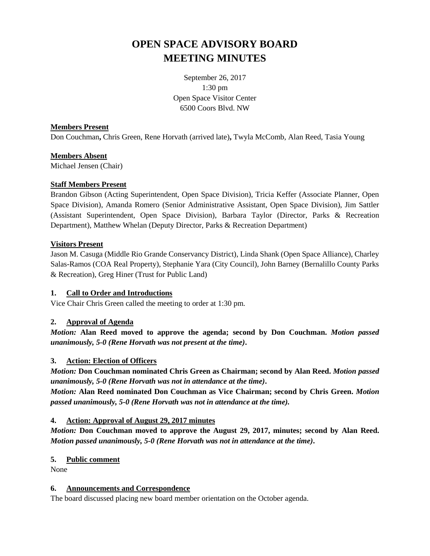# **OPEN SPACE ADVISORY BOARD MEETING MINUTES**

September 26, 2017 1:30 pm Open Space Visitor Center 6500 Coors Blvd. NW

## **Members Present**

Don Couchman**,** Chris Green, Rene Horvath (arrived late)**,** Twyla McComb, Alan Reed, Tasia Young

# **Members Absent**

Michael Jensen (Chair)

## **Staff Members Present**

Brandon Gibson (Acting Superintendent, Open Space Division), Tricia Keffer (Associate Planner, Open Space Division), Amanda Romero (Senior Administrative Assistant, Open Space Division), Jim Sattler (Assistant Superintendent, Open Space Division), Barbara Taylor (Director, Parks & Recreation Department), Matthew Whelan (Deputy Director, Parks & Recreation Department)

## **Visitors Present**

Jason M. Casuga (Middle Rio Grande Conservancy District), Linda Shank (Open Space Alliance), Charley Salas-Ramos (COA Real Property), Stephanie Yara (City Council), John Barney (Bernalillo County Parks & Recreation), Greg Hiner (Trust for Public Land)

# **1. Call to Order and Introductions**

Vice Chair Chris Green called the meeting to order at 1:30 pm.

# **2. Approval of Agenda**

*Motion:* **Alan Reed moved to approve the agenda; second by Don Couchman.** *Motion passed unanimously, 5-0 (Rene Horvath was not present at the time)***.**

# **3. Action: Election of Officers**

*Motion:* **Don Couchman nominated Chris Green as Chairman; second by Alan Reed.** *Motion passed unanimously, 5-0 (Rene Horvath was not in attendance at the time)***.**

*Motion:* **Alan Reed nominated Don Couchman as Vice Chairman; second by Chris Green.** *Motion passed unanimously, 5-0 (Rene Horvath was not in attendance at the time).*

# **4. Action: Approval of August 29, 2017 minutes**

*Motion:* **Don Couchman moved to approve the August 29, 2017, minutes; second by Alan Reed.**  *Motion passed unanimously, 5-0 (Rene Horvath was not in attendance at the time)***.**

#### **5. Public comment**

None

#### **6. Announcements and Correspondence**

The board discussed placing new board member orientation on the October agenda.